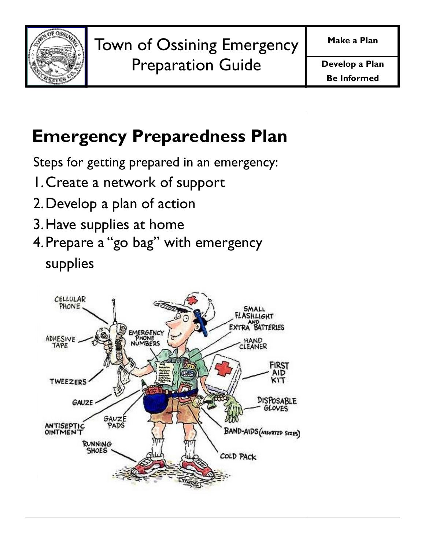

# Emergency Preparedness Plan

Steps for getting prepared in an emergency:

- 1. Create a network of support
- 2. Develop a plan of action
- 3. Have supplies at home
- 4. Prepare a "go bag" with emergency supplies

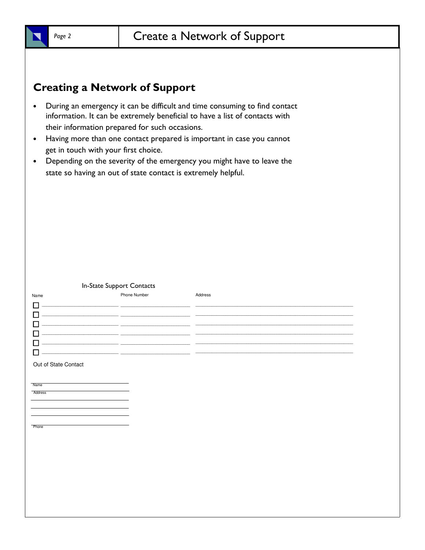

# Creating a Network of Support

- During an emergency it can be difficult and time consuming to find contact information. It can be extremely beneficial to have a list of contacts with their information prepared for such occasions.
- Having more than one contact prepared is important in case you cannot get in touch with your first choice.
- Depending on the severity of the emergency you might have to leave the state so having an out of state contact is extremely helpful.

#### In-State Support Contacts

| Name | Phone Number | Address |
|------|--------------|---------|
|      |              |         |
|      |              |         |
|      |              |         |
|      |              |         |
|      |              |         |
|      |              |         |
|      |              |         |

Out of State Contact

Name

**Address** 

**Phone**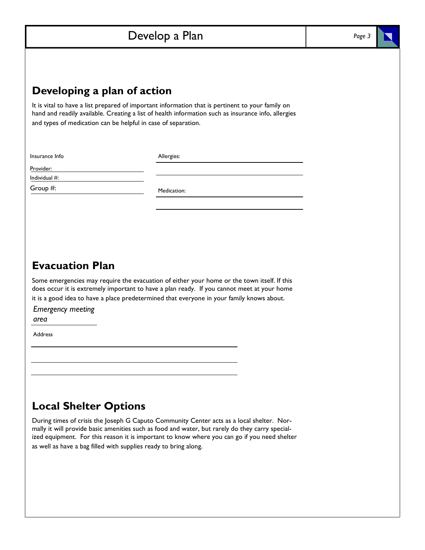# Develop a Plan

#### Developing a plan of action

It is vital to have a list prepared of important information that is pertinent to your family on hand and readily available. Creating a list of health information such as insurance info, allergies and types of medication can be helpful in case of separation.

Insurance Info

Allergies:

Provider:

Individual #: Group #:

Medication:

# Evacuation Plan

Some emergencies may require the evacuation of either your home or the town itself. If this does occur it is extremely important to have a plan ready. If you cannot meet at your home it is a good idea to have a place predetermined that everyone in your family knows about.

Emergency meeting area

Address

### Local Shelter Options

During times of crisis the Joseph G Caputo Community Center acts as a local shelter. Normally it will provide basic amenities such as food and water, but rarely do they carry specialized equipment. For this reason it is important to know where you can go if you need shelter as well as have a bag filled with supplies ready to bring along.